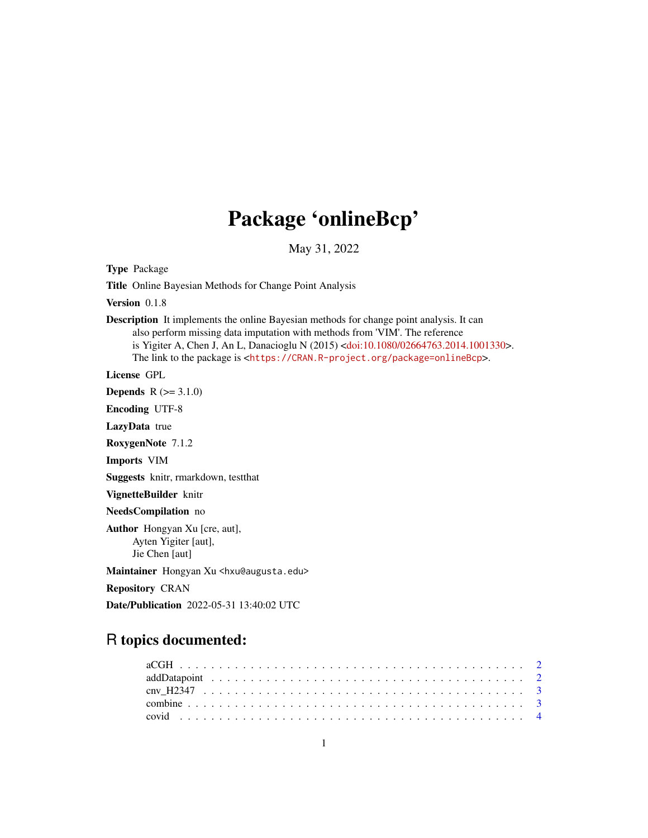# Package 'onlineBcp'

May 31, 2022

Type Package

Title Online Bayesian Methods for Change Point Analysis

Version 0.1.8

Description It implements the online Bayesian methods for change point analysis. It can also perform missing data imputation with methods from 'VIM'. The reference is Yigiter A, Chen J, An L, Danacioglu N (2015) [<doi:10.1080/02664763.2014.1001330>](https://doi.org/10.1080/02664763.2014.1001330). The link to the package is <<https://CRAN.R-project.org/package=onlineBcp>>.

License GPL

**Depends**  $R (=3.1.0)$ 

Encoding UTF-8

LazyData true

RoxygenNote 7.1.2

Imports VIM

Suggests knitr, rmarkdown, testthat

VignetteBuilder knitr

NeedsCompilation no

Author Hongyan Xu [cre, aut], Ayten Yigiter [aut], Jie Chen [aut]

Maintainer Hongyan Xu <hxu@augusta.edu>

Repository CRAN

Date/Publication 2022-05-31 13:40:02 UTC

# R topics documented: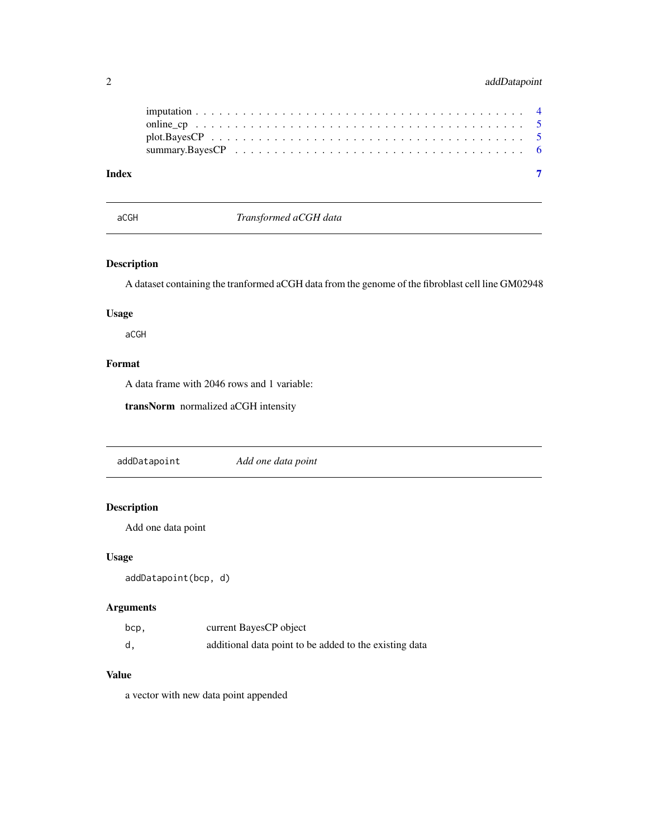# <span id="page-1-0"></span>2 addDatapoint

| Index |  |  |  |  |  |  |  |  |  |  |  |  |  |  |  |
|-------|--|--|--|--|--|--|--|--|--|--|--|--|--|--|--|

aCGH *Transformed aCGH data*

# Description

A dataset containing the tranformed aCGH data from the genome of the fibroblast cell line GM02948

# Usage

aCGH

## Format

A data frame with 2046 rows and 1 variable:

transNorm normalized aCGH intensity

addDatapoint *Add one data point*

# Description

Add one data point

#### Usage

addDatapoint(bcp, d)

# Arguments

| bcp,         | current BayesCP object                                 |
|--------------|--------------------------------------------------------|
| $\mathsf{d}$ | additional data point to be added to the existing data |

# Value

a vector with new data point appended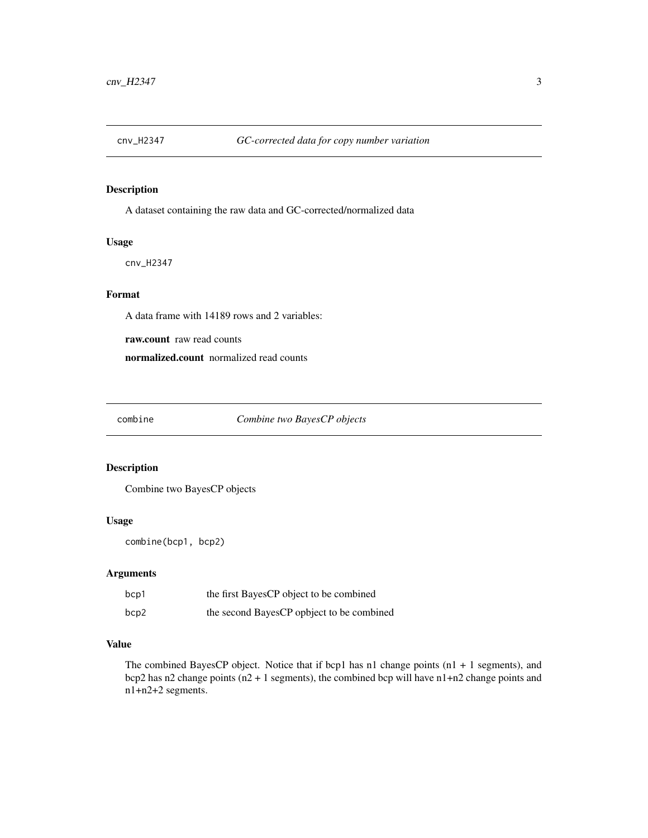<span id="page-2-0"></span>

A dataset containing the raw data and GC-corrected/normalized data

#### Usage

cnv\_H2347

## Format

A data frame with 14189 rows and 2 variables:

raw.count raw read counts

normalized.count normalized read counts

combine *Combine two BayesCP objects*

#### Description

Combine two BayesCP objects

#### Usage

combine(bcp1, bcp2)

#### Arguments

| bcp1 | the first BayesCP object to be combined   |
|------|-------------------------------------------|
| bcp2 | the second BayesCP opbject to be combined |

#### Value

The combined BayesCP object. Notice that if bcp1 has n1 change points  $(n1 + 1$  segments), and bcp2 has n2 change points (n2 + 1 segments), the combined bcp will have n1+n2 change points and n1+n2+2 segments.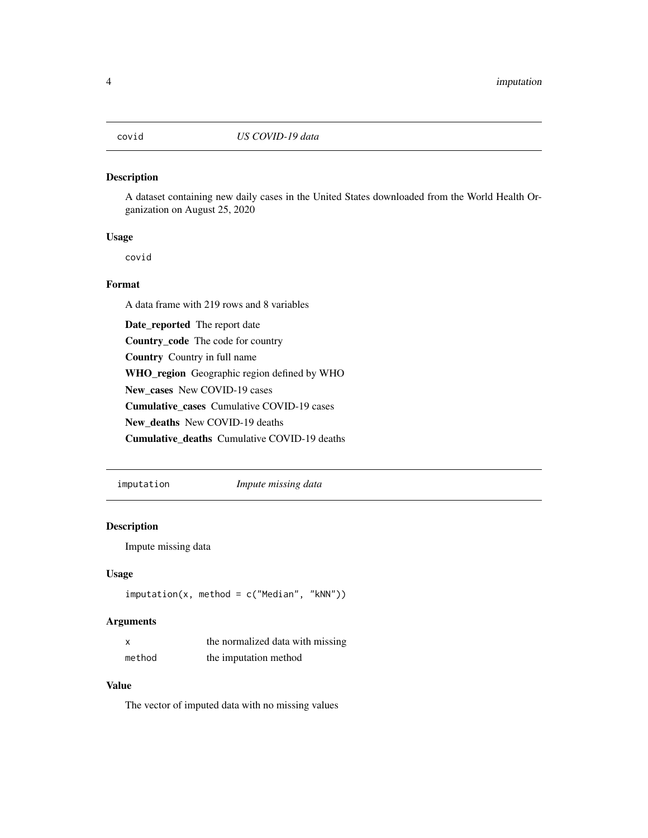<span id="page-3-0"></span>

A dataset containing new daily cases in the United States downloaded from the World Health Organization on August 25, 2020

#### Usage

covid

#### Format

A data frame with 219 rows and 8 variables

Date\_reported The report date Country\_code The code for country Country Country in full name WHO\_region Geographic region defined by WHO New\_cases New COVID-19 cases Cumulative\_cases Cumulative COVID-19 cases New\_deaths New COVID-19 deaths Cumulative\_deaths Cumulative COVID-19 deaths

imputation *Impute missing data*

#### Description

Impute missing data

#### Usage

```
imputation(x, method = c("Median", "kNN"))
```
#### Arguments

| X      | the normalized data with missing |
|--------|----------------------------------|
| method | the imputation method            |

#### Value

The vector of imputed data with no missing values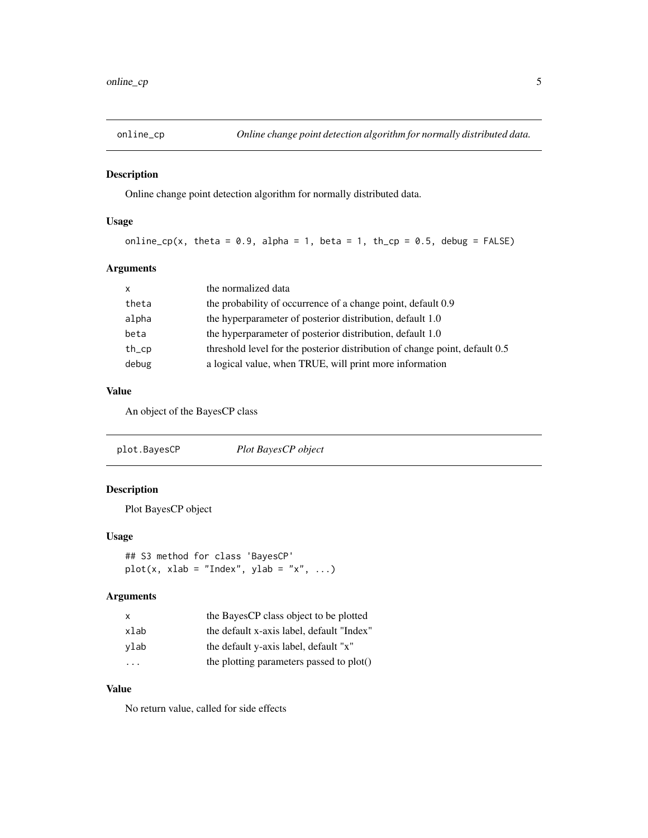<span id="page-4-0"></span>

Online change point detection algorithm for normally distributed data.

#### Usage

```
online_cp(x, theta = 0.9, alpha = 1, beta = 1, th_cp = 0.5, debug = FALSE)
```
#### Arguments

| $\mathsf{x}$ | the normalized data                                                         |
|--------------|-----------------------------------------------------------------------------|
| theta        | the probability of occurrence of a change point, default 0.9                |
| alpha        | the hyperparameter of posterior distribution, default 1.0                   |
| beta         | the hyperparameter of posterior distribution, default 1.0                   |
| $th$ _ $cp$  | threshold level for the posterior distribution of change point, default 0.5 |
| debug        | a logical value, when TRUE, will print more information                     |

#### Value

An object of the BayesCP class

plot.BayesCP *Plot BayesCP object*

### Description

Plot BayesCP object

#### Usage

## S3 method for class 'BayesCP'  $plot(x, xlab = "Index", ylab = "x", ...)$ 

#### Arguments

| X    | the BayesCP class object to be plotted    |
|------|-------------------------------------------|
| xlab | the default x-axis label, default "Index" |
| ylab | the default y-axis label, default "x"     |
| .    | the plotting parameters passed to plot()  |

# Value

No return value, called for side effects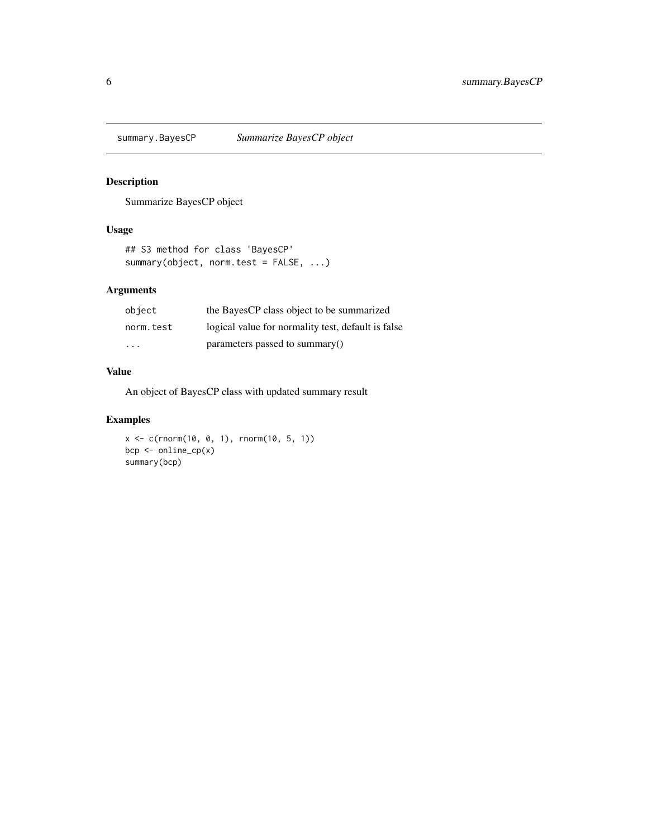<span id="page-5-0"></span>

Summarize BayesCP object

#### Usage

```
## S3 method for class 'BayesCP'
summary(object, norm.test = FALSE, ...)
```
#### Arguments

| object    | the BayesCP class object to be summarized          |
|-----------|----------------------------------------------------|
| norm.test | logical value for normality test, default is false |
| .         | parameters passed to summary()                     |

#### Value

An object of BayesCP class with updated summary result

# Examples

```
x <- c(rnorm(10, 0, 1), rnorm(10, 5, 1))
bcp <- online_cp(x)
summary(bcp)
```